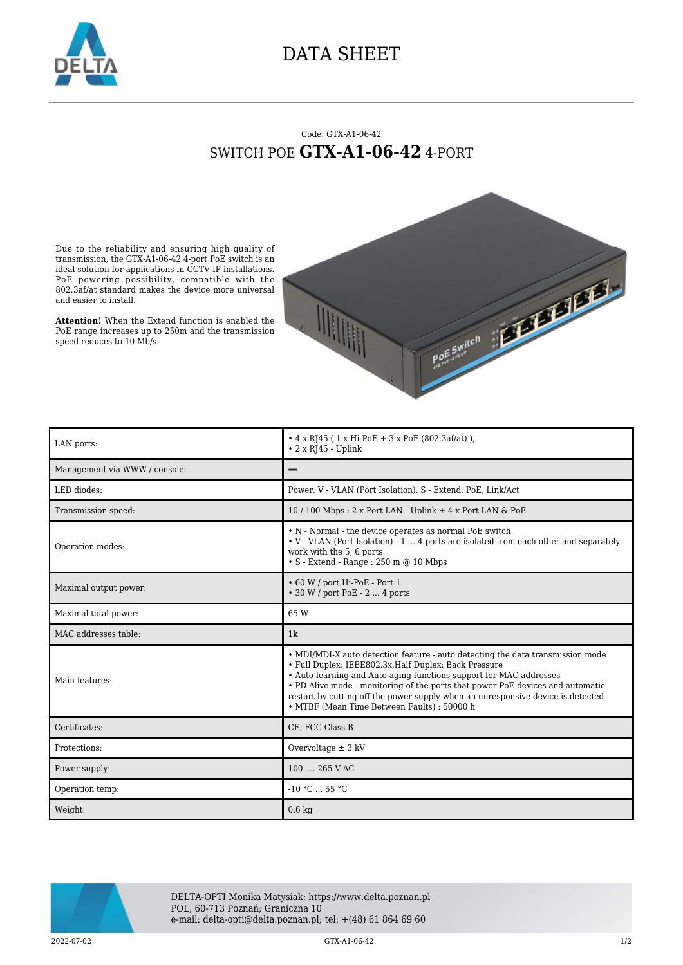

## DATA SHEET

## Code: GTX-A1-06-42 SWITCH POE **GTX-A1-06-42** 4-PORT

Due to the reliability and ensuring high quality of transmission, the GTX-A1-06-42 4-port PoE switch is an ideal solution for applications in CCTV IP installations. PoE powering possibility, compatible with the 802.3af/at standard makes the device more universal and easier to install.

**Attention!** When the Extend function is enabled the PoE range increases up to 250m and the transmission speed reduces to 10 Mb/s.



| LAN ports:                    | • $4 \times$ RJ45 (1 x Hi-PoE + 3 x PoE (802.3af/at)),<br>$\cdot$ 2 x RJ45 - Uplink                                                                                                                                                                                                             |
|-------------------------------|-------------------------------------------------------------------------------------------------------------------------------------------------------------------------------------------------------------------------------------------------------------------------------------------------|
| Management via WWW / console: |                                                                                                                                                                                                                                                                                                 |
| LED diodes:                   | Power, V - VLAN (Port Isolation), S - Extend, PoE, Link/Act                                                                                                                                                                                                                                     |
| Transmission speed:           | $10/100$ Mbps : 2 x Port LAN - Uplink + 4 x Port LAN & PoE                                                                                                                                                                                                                                      |
| Operation modes:              | • N - Normal - the device operates as normal PoE switch<br>• V - VLAN (Port Isolation) - 1  4 ports are isolated from each other and separately<br>work with the 5, 6 ports<br>$\bullet$ S - Extend - Range : 250 m @ 10 Mbps                                                                   |
| Maximal output power:         | • 60 W / port Hi-PoE - Port 1<br>• 30 W / port PoE - 2  4 ports                                                                                                                                                                                                                                 |
| Maximal total power:          | 65W                                                                                                                                                                                                                                                                                             |
| MAC addresses table:          | 1k                                                                                                                                                                                                                                                                                              |
| Main features:                | • MDI/MDI-X auto detection feature - auto detecting the data transmission mode<br>• Full Duplex: IEEE802.3x, Half Duplex: Back Pressure<br>• Auto-learning and Auto-aging functions support for MAC addresses<br>• PD Alive mode - monitoring of the ports that power PoE devices and automatic |
|                               | restart by cutting off the power supply when an unresponsive device is detected<br>• MTBF (Mean Time Between Faults) : 50000 h                                                                                                                                                                  |
| Certificates:                 | CE, FCC Class B                                                                                                                                                                                                                                                                                 |
| Protections:                  | Overvoltage $\pm$ 3 kV                                                                                                                                                                                                                                                                          |
| Power supply:                 | 100  265 V AC                                                                                                                                                                                                                                                                                   |
| Operation temp:               | $-10 °C$ 55 °C                                                                                                                                                                                                                                                                                  |



DELTA-OPTI Monika Matysiak; https://www.delta.poznan.pl POL; 60-713 Poznań; Graniczna 10 e-mail: delta-opti@delta.poznan.pl; tel: +(48) 61 864 69 60